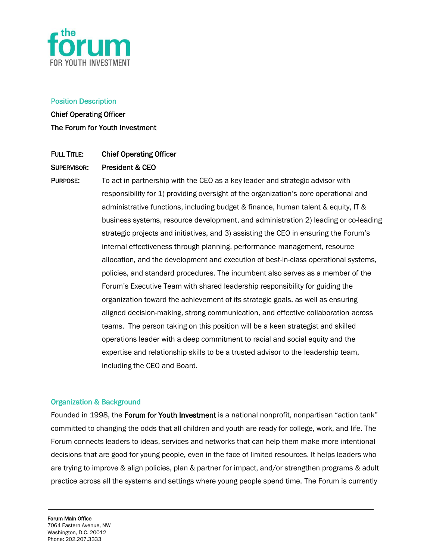

### Position Description

Chief Operating Officer The Forum for Youth Investment

# FULL TITLE: Chief Operating Officer

### SUPERVISOR: President & CEO

PURPOSE: To act in partnership with the CEO as a key leader and strategic advisor with responsibility for 1) providing oversight of the organization's core operational and administrative functions, including budget & finance, human talent & equity, IT & business systems, resource development, and administration 2) leading or co-leading strategic projects and initiatives, and 3) assisting the CEO in ensuring the Forum's internal effectiveness through planning, performance management, resource allocation, and the development and execution of best-in-class operational systems, policies, and standard procedures. The incumbent also serves as a member of the Forum's Executive Team with shared leadership responsibility for guiding the organization toward the achievement of its strategic goals, as well as ensuring aligned decision-making, strong communication, and effective collaboration across teams. The person taking on this position will be a keen strategist and skilled operations leader with a deep commitment to racial and social equity and the expertise and relationship skills to be a trusted advisor to the leadership team, including the CEO and Board.

#### Organization & Background

Founded in 1998, the Forum for Youth Investment is a national nonprofit, nonpartisan "action tank" committed to changing the odds that all children and youth are ready for college, work, and life. The Forum connects leaders to ideas, services and networks that can help them make more intentional decisions that are good for young people, even in the face of limited resources. It helps leaders who are trying to improve & align policies, plan & partner for impact, and/or strengthen programs & adult practice across all the systems and settings where young people spend time. The Forum is currently

Forum Main Office 7064 Eastern Avenue, NW Washington, D.C. 20012 Phone: 202.207.3333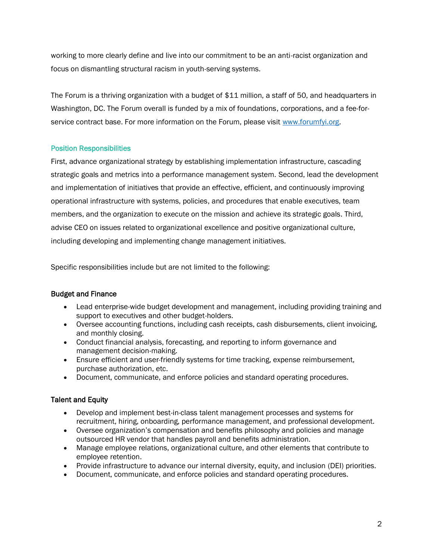working to more clearly define and live into our commitment to be an anti-racist organization and focus on dismantling structural racism in youth-serving systems.

The Forum is a thriving organization with a budget of \$11 million, a staff of 50, and headquarters in Washington, DC. The Forum overall is funded by a mix of foundations, corporations, and a fee-forservice contract base. For more information on the Forum, please visit [www.forumfyi.org.](http://www.forumfyi.org/)

# Position Responsibilities

First, advance organizational strategy by establishing implementation infrastructure, cascading strategic goals and metrics into a performance management system. Second, lead the development and implementation of initiatives that provide an effective, efficient, and continuously improving operational infrastructure with systems, policies, and procedures that enable executives, team members, and the organization to execute on the mission and achieve its strategic goals. Third, advise CEO on issues related to organizational excellence and positive organizational culture, including developing and implementing change management initiatives.

Specific responsibilities include but are not limited to the following:

# Budget and Finance

- Lead enterprise-wide budget development and management, including providing training and support to executives and other budget-holders.
- Oversee accounting functions, including cash receipts, cash disbursements, client invoicing, and monthly closing.
- Conduct financial analysis, forecasting, and reporting to inform governance and management decision-making.
- Ensure efficient and user-friendly systems for time tracking, expense reimbursement, purchase authorization, etc.
- Document, communicate, and enforce policies and standard operating procedures.

# Talent and Equity

- Develop and implement best-in-class talent management processes and systems for recruitment, hiring, onboarding, performance management, and professional development.
- Oversee organization's compensation and benefits philosophy and policies and manage outsourced HR vendor that handles payroll and benefits administration.
- Manage employee relations, organizational culture, and other elements that contribute to employee retention.
- Provide infrastructure to advance our internal diversity, equity, and inclusion (DEI) priorities.
- Document, communicate, and enforce policies and standard operating procedures.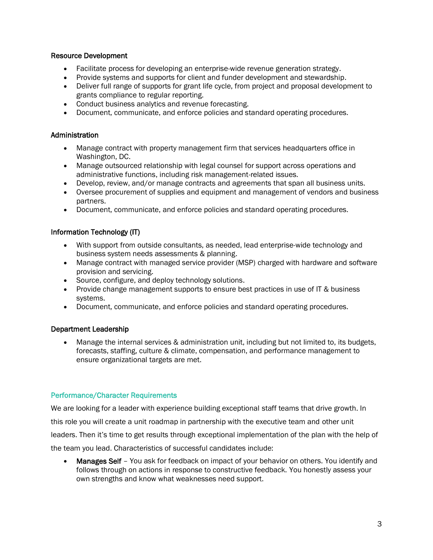### Resource Development

- Facilitate process for developing an enterprise-wide revenue generation strategy.
- Provide systems and supports for client and funder development and stewardship.
- Deliver full range of supports for grant life cycle, from project and proposal development to grants compliance to regular reporting.
- Conduct business analytics and revenue forecasting.
- Document, communicate, and enforce policies and standard operating procedures.

### **Administration**

- Manage contract with property management firm that services headquarters office in Washington, DC.
- Manage outsourced relationship with legal counsel for support across operations and administrative functions, including risk management-related issues.
- Develop, review, and/or manage contracts and agreements that span all business units.
- Oversee procurement of supplies and equipment and management of vendors and business partners.
- Document, communicate, and enforce policies and standard operating procedures.

### Information Technology (IT)

- With support from outside consultants, as needed, lead enterprise-wide technology and business system needs assessments & planning.
- Manage contract with managed service provider (MSP) charged with hardware and software provision and servicing.
- Source, configure, and deploy technology solutions.
- Provide change management supports to ensure best practices in use of IT & business systems.
- Document, communicate, and enforce policies and standard operating procedures.

### Department Leadership

• Manage the internal services & administration unit, including but not limited to, its budgets, forecasts, staffing, culture & climate, compensation, and performance management to ensure organizational targets are met.

### Performance/Character Requirements

We are looking for a leader with experience building exceptional staff teams that drive growth. In this role you will create a unit roadmap in partnership with the executive team and other unit leaders. Then it's time to get results through exceptional implementation of the plan with the help of the team you lead. Characteristics of successful candidates include:

• Manages Self – You ask for feedback on impact of your behavior on others. You identify and follows through on actions in response to constructive feedback. You honestly assess your own strengths and know what weaknesses need support.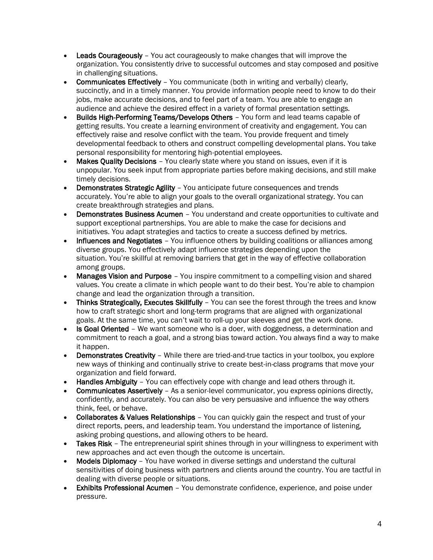- Leads Courageously You act courageously to make changes that will improve the organization. You consistently drive to successful outcomes and stay composed and positive in challenging situations.
- Communicates Effectively You communicate (both in writing and verbally) clearly, succinctly, and in a timely manner. You provide information people need to know to do their jobs, make accurate decisions, and to feel part of a team. You are able to engage an audience and achieve the desired effect in a variety of formal presentation settings.
- Builds High-Performing Teams/Develops Others You form and lead teams capable of getting results. You create a learning environment of creativity and engagement. You can effectively raise and resolve conflict with the team. You provide frequent and timely developmental feedback to others and construct compelling developmental plans. You take personal responsibility for mentoring high-potential employees.
- Makes Quality Decisions You clearly state where you stand on issues, even if it is unpopular. You seek input from appropriate parties before making decisions, and still make timely decisions.
- Demonstrates Strategic Agility You anticipate future consequences and trends accurately. You're able to align your goals to the overall organizational strategy. You can create breakthrough strategies and plans.
- Demonstrates Business Acumen You understand and create opportunities to cultivate and support exceptional partnerships. You are able to make the case for decisions and initiatives. You adapt strategies and tactics to create a success defined by metrics.
- Influences and Negotiates You influence others by building coalitions or alliances among diverse groups. You effectively adapt influence strategies depending upon the situation. You're skillful at removing barriers that get in the way of effective collaboration among groups.
- **Manages Vision and Purpose** You inspire commitment to a compelling vision and shared values. You create a climate in which people want to do their best. You're able to champion change and lead the organization through a transition.
- Thinks Strategically, Executes Skillfully You can see the forest through the trees and know how to craft strategic short and long-term programs that are aligned with organizational goals. At the same time, you can't wait to roll-up your sleeves and get the work done.
- Is Goal Oriented We want someone who is a doer, with doggedness, a determination and commitment to reach a goal, and a strong bias toward action. You always find a way to make it happen.
- Demonstrates Creativity While there are tried-and-true tactics in your toolbox, you explore new ways of thinking and continually strive to create best-in-class programs that move your organization and field forward.
- Handles Ambiguity You can effectively cope with change and lead others through it.
- Communicates Assertively As a senior-level communicator, you express opinions directly, confidently, and accurately. You can also be very persuasive and influence the way others think, feel, or behave.
- Collaborates & Values Relationships You can quickly gain the respect and trust of your direct reports, peers, and leadership team. You understand the importance of listening, asking probing questions, and allowing others to be heard.
- Takes Risk The entrepreneurial spirit shines through in your willingness to experiment with new approaches and act even though the outcome is uncertain.
- Models Diplomacy You have worked in diverse settings and understand the cultural sensitivities of doing business with partners and clients around the country. You are tactful in dealing with diverse people or situations.
- Exhibits Professional Acumen You demonstrate confidence, experience, and poise under pressure.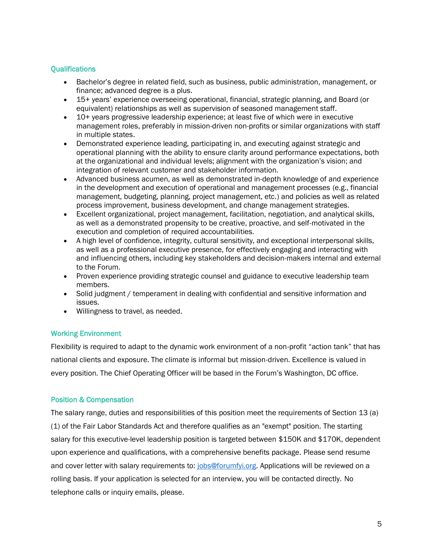# **Qualifications**

- Bachelor's degree in related field, such as business, public administration, management, or finance; advanced degree is a plus.
- 15+ years' experience overseeing operational, financial, strategic planning, and Board (or equivalent) relationships as well as supervision of seasoned management staff.
- 10+ years progressive leadership experience; at least five of which were in executive management roles, preferably in mission-driven non-profits or similar organizations with staff in multiple states.
- Demonstrated experience leading, participating in, and executing against strategic and operational planning with the ability to ensure clarity around performance expectations, both at the organizational and individual levels; alignment with the organization's vision; and integration of relevant customer and stakeholder information.
- Advanced business acumen, as well as demonstrated in-depth knowledge of and experience in the development and execution of operational and management processes (e.g., financial management, budgeting, planning, project management, etc.) and policies as well as related process improvement, business development, and change management strategies.
- Excellent organizational, project management, facilitation, negotiation, and analytical skills, as well as a demonstrated propensity to be creative, proactive, and self-motivated in the execution and completion of required accountabilities.
- A high level of confidence, integrity, cultural sensitivity, and exceptional interpersonal skills, as well as a professional executive presence, for effectively engaging and interacting with and influencing others, including key stakeholders and decision-makers internal and external to the Forum.
- Proven experience providing strategic counsel and guidance to executive leadership team members.
- Solid judgment / temperament in dealing with confidential and sensitive information and issues.
- Willingness to travel, as needed.

# Working Environment

Flexibility is required to adapt to the dynamic work environment of a non-profit "action tank" that has national clients and exposure. The climate is informal but mission-driven. Excellence is valued in every position. The Chief Operating Officer will be based in the Forum's Washington, DC office.

# Position & Compensation

The salary range, duties and responsibilities of this position meet the requirements of Section 13 (a) (1) of the Fair Labor Standards Act and therefore qualifies as an "exempt" position. The starting salary for this executive-level leadership position is targeted between \$150K and \$170K, dependent upon experience and qualifications, with a comprehensive benefits package. Please send resume and cover letter with salary requirements to: [jobs@forumfyi.org.](mailto:jobs@forumfyi.org) Applications will be reviewed on a rolling basis. If your application is selected for an interview, you will be contacted directly. No telephone calls or inquiry emails, please.